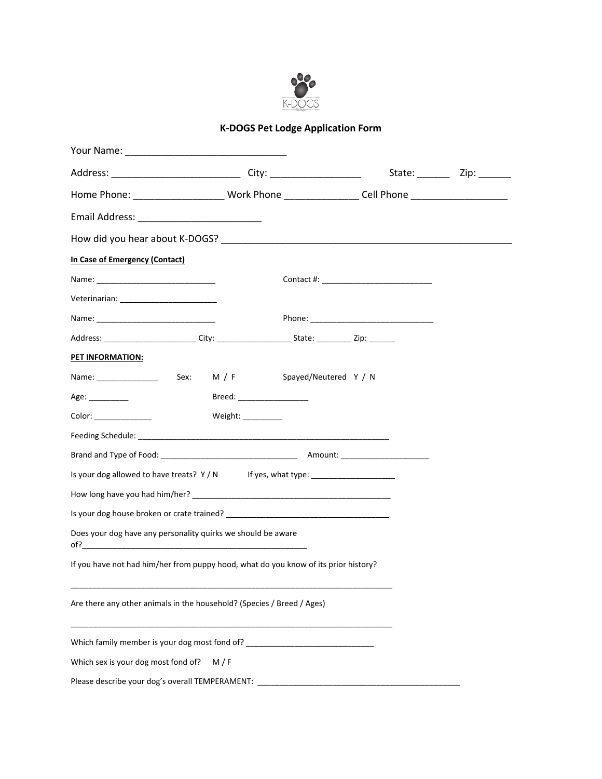

## **K-DOGS Pet Lodge Application Form**

|                                                                                                      |                             |  | State: _________ Zip: _______ |
|------------------------------------------------------------------------------------------------------|-----------------------------|--|-------------------------------|
| Home Phone: ___________________________Work Phone __________________Cell Phone _____________________ |                             |  |                               |
|                                                                                                      |                             |  |                               |
|                                                                                                      |                             |  |                               |
| In Case of Emergency (Contact)                                                                       |                             |  |                               |
|                                                                                                      |                             |  |                               |
|                                                                                                      |                             |  |                               |
|                                                                                                      |                             |  |                               |
| Address: ________________________City: _______________________State: ___________Zip: ________        |                             |  |                               |
| <b>PET INFORMATION:</b>                                                                              |                             |  |                               |
|                                                                                                      |                             |  |                               |
| Age: _________                                                                                       | Breed: ____________________ |  |                               |
|                                                                                                      | Weight: $\frac{1}{2}$       |  |                               |
|                                                                                                      |                             |  |                               |
|                                                                                                      |                             |  |                               |
| Is your dog allowed to have treats? Y / N If yes, what type: ___________________                     |                             |  |                               |
|                                                                                                      |                             |  |                               |
|                                                                                                      |                             |  |                               |
| Does your dog have any personality quirks we should be aware                                         |                             |  |                               |
| If you have not had him/her from puppy hood, what do you know of its prior history?                  |                             |  |                               |
| Are there any other animals in the household? (Species / Breed / Ages)                               |                             |  |                               |
| Which family member is your dog most fond of? __________________________________                     |                             |  |                               |
| Which sex is your dog most fond of?                                                                  | M/F                         |  |                               |
| Please describe your dog's overall TEMPERAMENT: ________________________________                     |                             |  |                               |